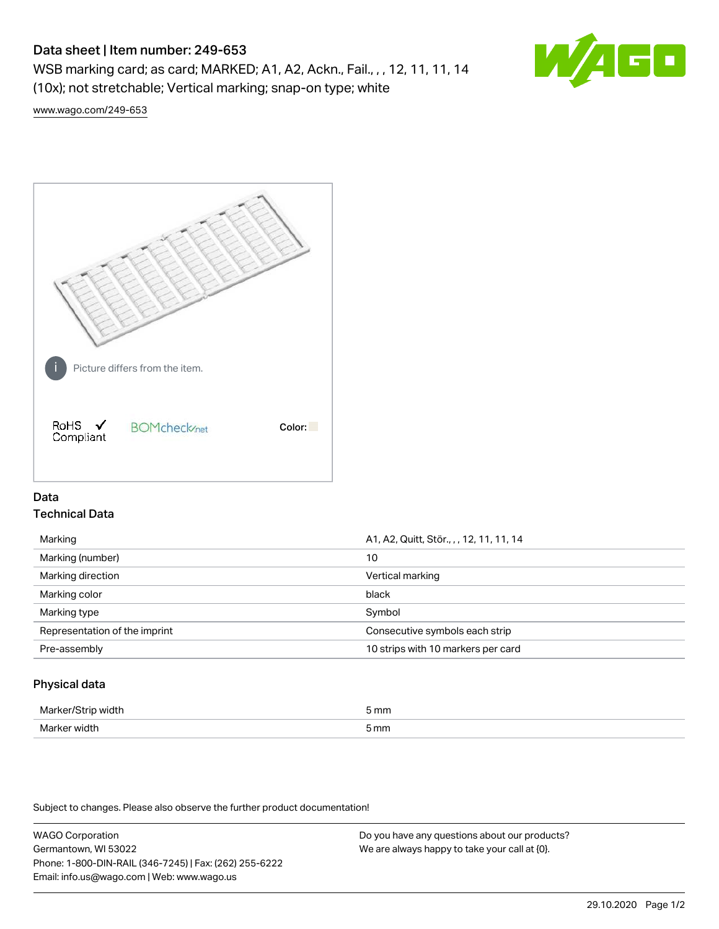# Data sheet | Item number: 249-653

WSB marking card; as card; MARKED; A1, A2, Ackn., Fail., , , 12, 11, 11, 14 (10x); not stretchable; Vertical marking; snap-on type; white



[www.wago.com/249-653](http://www.wago.com/249-653)



## Data Technical Data

| Marking                       | A1, A2, Quitt, Stör., , , 12, 11, 11, 14 |  |
|-------------------------------|------------------------------------------|--|
| Marking (number)              | 10                                       |  |
| Marking direction             | Vertical marking                         |  |
| Marking color                 | black                                    |  |
| Marking type                  | Symbol                                   |  |
| Representation of the imprint | Consecutive symbols each strip           |  |
| Pre-assembly                  | 10 strips with 10 markers per card       |  |
|                               |                                          |  |

## Physical data

| Mar                      | 5 mm |
|--------------------------|------|
| M <sub>cr</sub><br>width | 5 mm |

Subject to changes. Please also observe the further product documentation!

WAGO Corporation Germantown, WI 53022 Phone: 1-800-DIN-RAIL (346-7245) | Fax: (262) 255-6222 Email: info.us@wago.com | Web: www.wago.us Do you have any questions about our products? We are always happy to take your call at {0}.